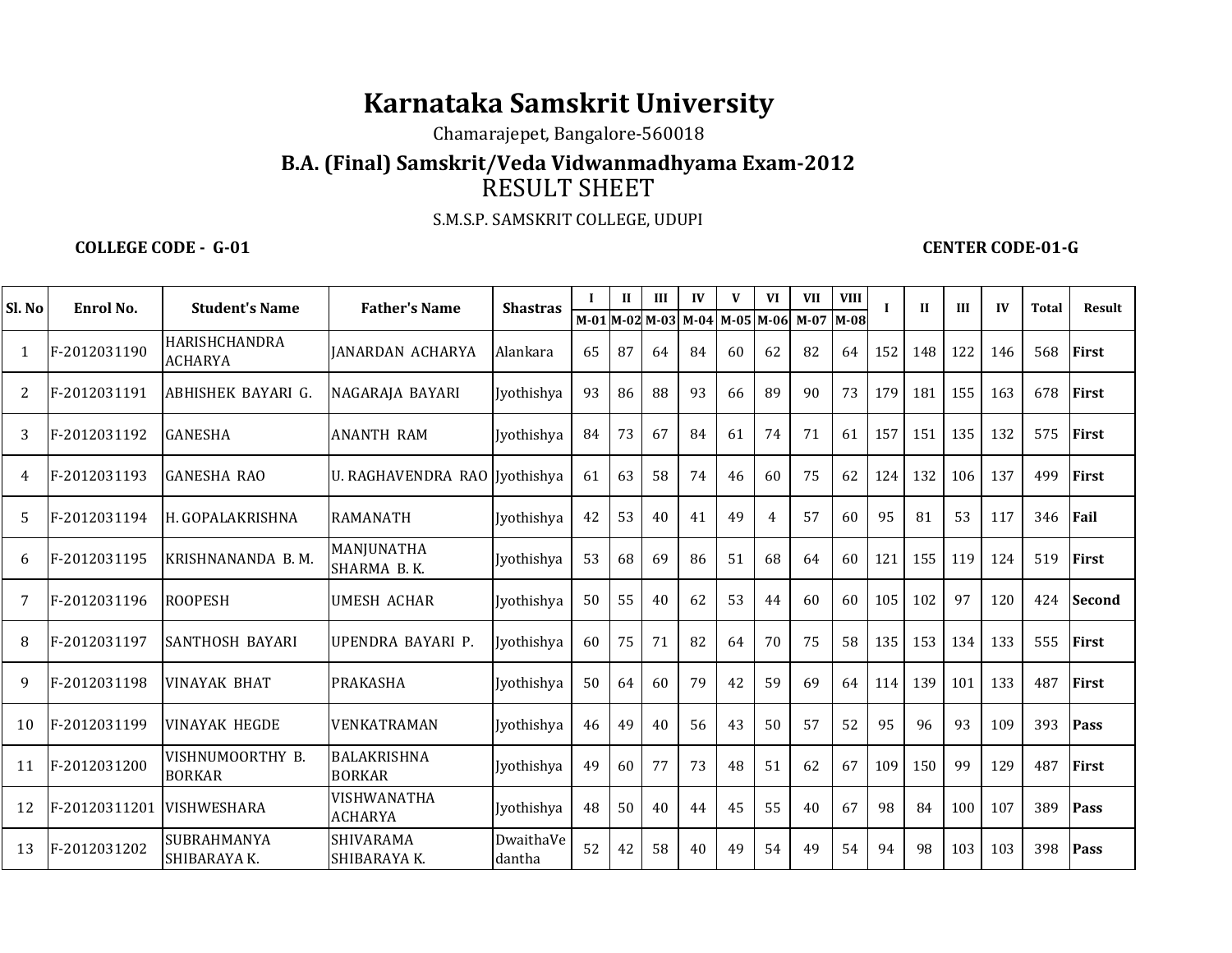## **Karnataka Samskrit University**

Chamarajepet, Bangalore-560018

## **B.A. (Final) Samskrit/Veda Vidwanmadhyama Exam-2012**RESULT SHEET

S.M.S.P. SAMSKRIT COLLEGE, UDUPI

**COLLEGE CODE - G-01 CENTER CODE-01-G** 

| Sl. No         | Enrol No.                 | <b>Student's Name</b>                  | <b>Father's Name</b>                | <b>Shastras</b>     |    | $\mathbf{I}$ | III                 | IV | V         | <b>VI</b>      | <b>VII</b> | <b>VIII</b> |     | $\mathbf{I}$ | III | $\mathbf{I}$ | <b>Total</b> | Result        |
|----------------|---------------------------|----------------------------------------|-------------------------------------|---------------------|----|--------------|---------------------|----|-----------|----------------|------------|-------------|-----|--------------|-----|--------------|--------------|---------------|
|                |                           |                                        |                                     |                     |    |              | M-01 M-02 M-03 M-04 |    | M-05 M-06 |                | $M-07$     | M-08        |     |              |     |              |              |               |
| -1             | F-2012031190              | <b>HARISHCHANDRA</b><br><b>ACHARYA</b> | IANARDAN ACHARYA                    | Alankara            | 65 | 87           | 64                  | 84 | 60        | 62             | 82         | 64          | 152 | 148          | 122 | 146          | 568          | <b>First</b>  |
| $\overline{2}$ | F-2012031191              | ABHISHEK BAYARI G.                     | NAGARAJA BAYARI                     | Jyothishya          | 93 | 86           | 88                  | 93 | 66        | 89             | 90         | 73          | 179 | 181          | 155 | 163          | 678          | <b>First</b>  |
| 3              | F-2012031192              | <b>GANESHA</b>                         | <b>ANANTH RAM</b>                   | Jyothishya          | 84 | 73           | 67                  | 84 | 61        | 74             | 71         | 61          | 157 | 151          | 135 | 132          | 575          | <b>First</b>  |
| 4              | F-2012031193              | <b>GANESHA RAO</b>                     | U. RAGHAVENDRA RAO I vothishya      |                     | 61 | 63           | 58                  | 74 | 46        | 60             | 75         | 62          | 124 | 132          | 106 | 137          | 499          | <b>First</b>  |
| 5              | F-2012031194              | H. GOPALAKRISHNA                       | <b>RAMANATH</b>                     | Jyothishya          | 42 | 53           | 40                  | 41 | 49        | $\overline{4}$ | 57         | 60          | 95  | 81           | 53  | 117          | 346          | Fail          |
| 6              | F-2012031195              | KRISHNANANDA B.M.                      | MANJUNATHA<br>SHARMA B.K.           | Jyothishya          | 53 | 68           | 69                  | 86 | 51        | 68             | 64         | 60          | 121 | 155          | 119 | 124          | 519          | <b>First</b>  |
| 7              | F-2012031196              | <b>ROOPESH</b>                         | <b>UMESH ACHAR</b>                  | Jyothishya          | 50 | 55           | 40                  | 62 | 53        | 44             | 60         | 60          | 105 | 102          | 97  | 120          | 424          | <b>Second</b> |
| 8              | F-2012031197              | SANTHOSH BAYARI                        | UPENDRA BAYARI P.                   | Jyothishya          | 60 | 75           | 71                  | 82 | 64        | 70             | 75         | 58          | 135 | 153          | 134 | 133          | 555          | <b>First</b>  |
| $\mathbf{Q}$   | F-2012031198              | <b>VINAYAK BHAT</b>                    | PRAKASHA                            | Jyothishya          | 50 | 64           | 60                  | 79 | 42        | 59             | 69         | 64          | 114 | 139          | 101 | 133          | 487          | First         |
| 10             | F-2012031199              | <b>VINAYAK HEGDE</b>                   | VENKATRAMAN                         | Jyothishya          | 46 | 49           | 40                  | 56 | 43        | 50             | 57         | 52          | 95  | 96           | 93  | 109          | 393          | Pass          |
| 11             | F-2012031200              | VISHNUMOORTHY B.<br><b>BORKAR</b>      | <b>BALAKRISHNA</b><br><b>BORKAR</b> | Jyothishya          | 49 | 60           | 77                  | 73 | 48        | 51             | 62         | 67          | 109 | 150          | 99  | 129          | 487          | <b>First</b>  |
| 12             | F-20120311201 VISHWESHARA |                                        | VISHWANATHA<br><b>ACHARYA</b>       | <b>Jyothishya</b>   | 48 | 50           | 40                  | 44 | 45        | 55             | 40         | 67          | 98  | 84           | 100 | 107          | 389          | Pass          |
| 13             | F-2012031202              | SUBRAHMANYA<br>SHIBARAYA K.            | SHIVARAMA<br>SHIBARAYA K.           | DwaithaVe<br>dantha | 52 | 42           | 58                  | 40 | 49        | 54             | 49         | 54          | 94  | 98           | 103 | 103          | 398          | Pass          |